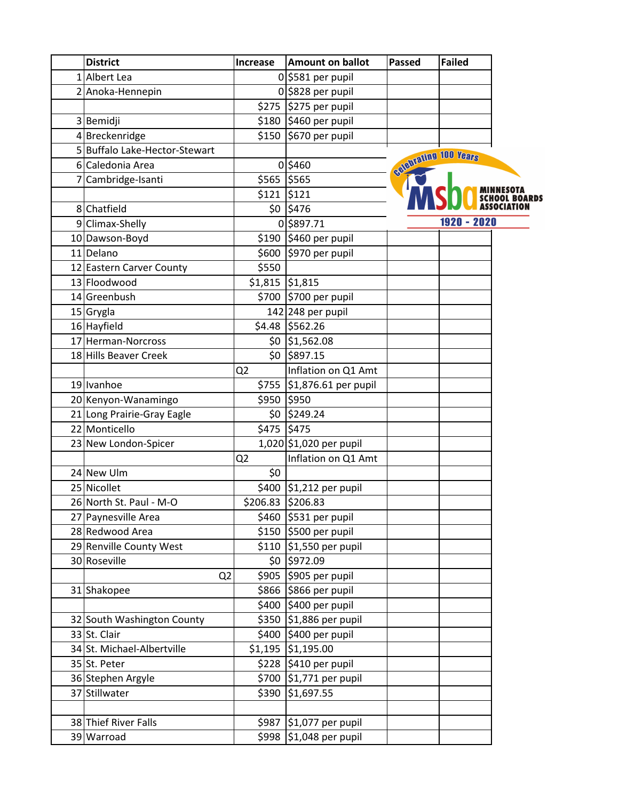| <b>District</b>               | Increase          | <b>Amount on ballot</b> | <b>Passed</b> | <b>Failed</b>         |
|-------------------------------|-------------------|-------------------------|---------------|-----------------------|
| 1 Albert Lea                  |                   | $0$ \$581 per pupil     |               |                       |
| 2 Anoka-Hennepin              |                   | $0$ \$828 per pupil     |               |                       |
|                               |                   | \$275 \$275 per pupil   |               |                       |
| 3 Bemidji                     |                   | \$180 \$460 per pupil   |               |                       |
| 4 Breckenridge                |                   | \$150 \$670 per pupil   |               |                       |
| 5 Buffalo Lake-Hector-Stewart |                   |                         |               | estebrating 100 Years |
| 6 Caledonia Area              |                   | 0 \$460                 |               |                       |
| 7 Cambridge-Isanti            | \$565 \$565       |                         |               |                       |
|                               | \$121             | \$121                   |               |                       |
| 8 Chatfield                   |                   | $$0$ $$476$             |               |                       |
| 9 Climax-Shelly               |                   | 0 \$897.71              |               | 1920 - 2020           |
| 10 Dawson-Boyd                |                   | \$190 \$460 per pupil   |               |                       |
| 11 Delano                     |                   | \$600 \$970 per pupil   |               |                       |
| 12 Eastern Carver County      | \$550             |                         |               |                       |
| 13 Floodwood                  | $$1,815$ $$1,815$ |                         |               |                       |
| 14 Greenbush                  |                   | \$700 \$700 per pupil   |               |                       |
| $15$ Grygla                   |                   | 142 248 per pupil       |               |                       |
| 16 Hayfield                   |                   | \$4.48 \$562.26         |               |                       |
| 17 Herman-Norcross            |                   | \$0 \$1,562.08          |               |                       |
| 18 Hills Beaver Creek         |                   | \$0 \$897.15            |               |                       |
|                               | Q <sub>2</sub>    | Inflation on Q1 Amt     |               |                       |
| 19 Ivanhoe                    | \$755             | \$1,876.61 per pupil    |               |                       |
| 20 Kenyon-Wanamingo           | \$950             | \$950                   |               |                       |
| 21 Long Prairie-Gray Eagle    |                   | \$0 \$249.24            |               |                       |
| 22 Monticello                 | \$475 \$475       |                         |               |                       |
| 23 New London-Spicer          |                   | 1,020 \$1,020 per pupil |               |                       |
|                               | Q <sub>2</sub>    | Inflation on Q1 Amt     |               |                       |
| 24 New Ulm                    | \$0               |                         |               |                       |
| 25 Nicollet                   |                   | \$400 \$1,212 per pupil |               |                       |
| 26 North St. Paul - M-O       | \$206.83 \$206.83 |                         |               |                       |
| 27 Paynesville Area           |                   | \$460 \$531 per pupil   |               |                       |
| 28 Redwood Area               |                   | \$150 \$500 per pupil   |               |                       |
| 29 Renville County West       |                   | \$110 \$1,550 per pupil |               |                       |
| 30 Roseville                  |                   | \$0 \$972.09            |               |                       |
| Q <sub>2</sub>                |                   | \$905 \$905 per pupil   |               |                       |
| 31 Shakopee                   |                   | \$866 \$866 per pupil   |               |                       |
|                               |                   | \$400 \$400 per pupil   |               |                       |
| 32 South Washington County    |                   | \$350 \$1,886 per pupil |               |                       |
| 33 St. Clair                  |                   | \$400 \$400 per pupil   |               |                       |
| 34 St. Michael-Albertville    |                   | $$1,195$ $$1,195.00$    |               |                       |
| 35 St. Peter                  |                   | \$228 \$410 per pupil   |               |                       |
| 36 Stephen Argyle             | \$700             | $ $1,771$ per pupil     |               |                       |
| 37 Stillwater                 | \$390             | \$1,697.55              |               |                       |
|                               |                   |                         |               |                       |
| 38 Thief River Falls          |                   | \$987 \$1,077 per pupil |               |                       |
| 39 Warroad                    |                   | \$998 \$1,048 per pupil |               |                       |